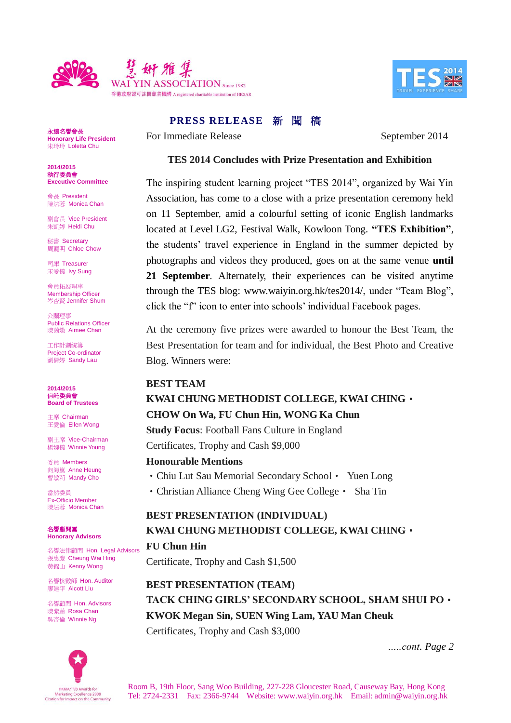



**PRESS RELEASE 新聞 稿** 

For Immediate Release September 2014

永遠名譽會長 **Honorary Life President** 朱玲玲 Loletta Chu

**2014/2015** 執行委員會 **Executive Committee**

會長 President 陳法蓉 Monica Chan

副會長 Vice President 朱凱婷 Heidi Chu

秘書 Secretary 周麗明 Chloe Chow

司庫 Treasurer 宋愛儀 Ivy Sung

會員拓展理事 Membership Officer 岑杏賢 Jennifer Shum

公關理事 Public Relations Officer 陳茵媺 Aimee Chan

工作計劃統籌 Project Co-ordinator 劉倩婷 Sandy Lau

**2014/2015** 信託委員會 **Board of Trustees**

主席 Chairman 王愛倫 Ellen Wong

副主席 Vice-Chairman 楊婉儀 Winnie Young

委員 Members 向海嵐 Anne Heung **曹敏莉 Mandy Cho** 

當然委員 Ex-Officio Member 陳法蓉 Monica Chan

名譽顧問團 **Honorary Advisors**

名譽法律顧問 Hon. Legal Advisors 張惠慶 Cheung Wai Hing 黃錦山 Kenny Wong

名譽核數師 Hon. Auditor 廖建平 Alcott Liu

名譽顧問 Hon. Advisors 陳紫蓮 Rosa Chan 吳杏倫 Winnie Ng



## **TES 2014 Concludes with Prize Presentation and Exhibition**

The inspiring student learning project "TES 2014", organized by Wai Yin Association, has come to a close with a prize presentation ceremony held on 11 September, amid a colourful setting of iconic English landmarks located at Level LG2, Festival Walk, Kowloon Tong. **"TES Exhibition"**, the students' travel experience in England in the summer depicted by photographs and videos they produced, goes on at the same venue **until 21 September**. Alternately, their experiences can be visited anytime through the TES blog: www.waiyin.org.hk/tes2014/, under "Team Blog", click the "f" icon to enter into schools' individual Facebook pages.

At the ceremony five prizes were awarded to honour the Best Team, the Best Presentation for team and for individual, the Best Photo and Creative Blog. Winners were:

### **BEST TEAM**

### **KWAI CHUNG METHODIST COLLEGE, KWAI CHING**‧

#### **CHOW On Wa, FU Chun Hin, WONG Ka Chun**

**Study Focus**: Football Fans Culture in England Certificates, Trophy and Cash \$9,000

#### **Honourable Mentions**

• Chiu Lut Sau Memorial Secondary School • Yuen Long

• Christian Alliance Cheng Wing Gee College • Sha Tin

## **BEST PRESENTATION (INDIVIDUAL) KWAI CHUNG METHODIST COLLEGE, KWAI CHING**‧ **FU Chun Hin**

Certificate, Trophy and Cash \$1,500

## **BEST PRESENTATION (TEAM) TACK CHING GIRLS' SECONDARY SCHOOL, SHAM SHUI PO**‧ **KWOK Megan Sin, SUEN Wing Lam, YAU Man Cheuk** Certificates, Trophy and Cash \$3,000

*…..cont. Page 2*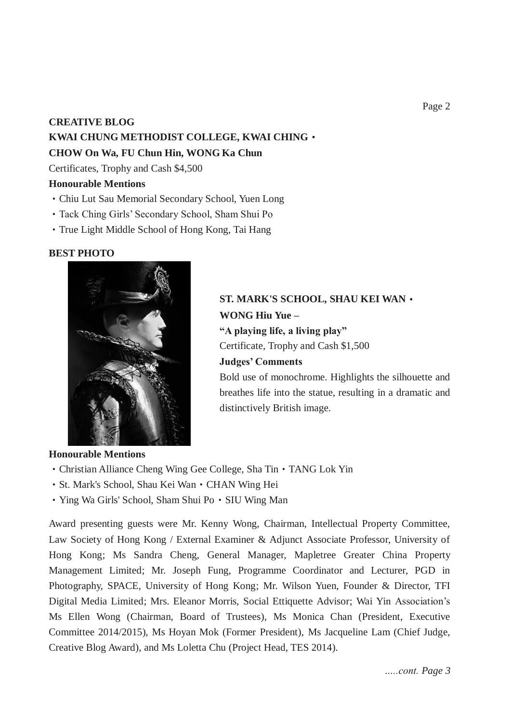# **CREATIVE BLOG KWAI CHUNG METHODIST COLLEGE, KWAI CHING**‧ **CHOW On Wa, FU Chun Hin, WONG Ka Chun**

Certificates, Trophy and Cash \$4,500

## **Honourable Mentions**

- ‧Chiu Lut Sau Memorial Secondary School, Yuen Long
- ‧Tack Ching Girls' Secondary School, Sham Shui Po
- ‧True Light Middle School of Hong Kong, Tai Hang

## **BEST PHOTO**



**ST. MARK'S SCHOOL, SHAU KEI WAN**‧ **WONG Hiu Yue – "A playing life, a living play"** Certificate, Trophy and Cash \$1,500 **Judges' Comments** Bold use of monochrome. Highlights the silhouette and breathes life into the statue, resulting in a dramatic and

### **Honourable Mentions**

- Christian Alliance Cheng Wing Gee College, Sha Tin TANG Lok Yin
- ‧St. Mark's School, Shau Kei Wan‧CHAN Wing Hei
- Ying Wa Girls' School, Sham Shui Po SIU Wing Man

Award presenting guests were Mr. Kenny Wong, Chairman, Intellectual Property Committee, Law Society of Hong Kong / External Examiner & Adjunct Associate Professor, University of Hong Kong; Ms Sandra Cheng, General Manager, Mapletree Greater China Property Management Limited; Mr. Joseph Fung, Programme Coordinator and Lecturer, PGD in Photography, SPACE, University of Hong Kong; Mr. Wilson Yuen, Founder & Director, TFI Digital Media Limited; Mrs. Eleanor Morris, Social Ettiquette Advisor; Wai Yin Association's Ms Ellen Wong (Chairman, Board of Trustees), Ms Monica Chan (President, Executive Committee 2014/2015), Ms Hoyan Mok (Former President), Ms Jacqueline Lam (Chief Judge, Creative Blog Award), and Ms Loletta Chu (Project Head, TES 2014).

distinctively British image.

*…..cont. Page 3*